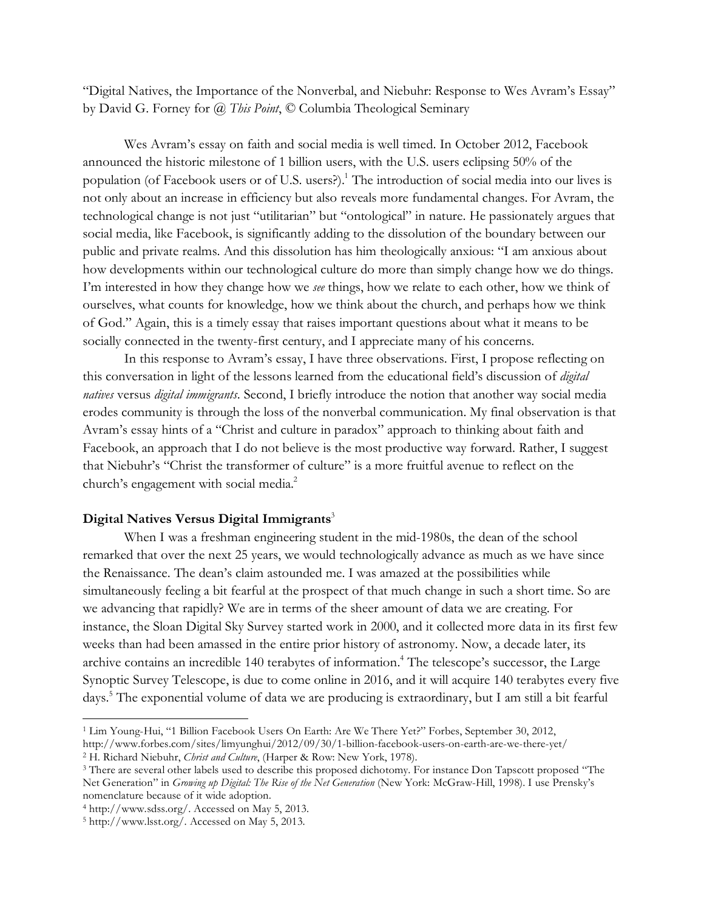"Digital Natives, the Importance of the Nonverbal, and Niebuhr: Response to Wes Avram's Essay" by David G. Forney for *@ This Point*, © Columbia Theological Seminary

Wes Avram's essay on faith and social media is well timed. In October 2012, Facebook announced the historic milestone of 1 billion users, with the U.S. users eclipsing 50% of the population (of Facebook users or of U.S. users?).<sup>1</sup> The introduction of social media into our lives is not only about an increase in efficiency but also reveals more fundamental changes. For Avram, the technological change is not just "utilitarian" but "ontological" in nature. He passionately argues that social media, like Facebook, is significantly adding to the dissolution of the boundary between our public and private realms. And this dissolution has him theologically anxious: "I am anxious about how developments within our technological culture do more than simply change how we do things. I'm interested in how they change how we *see* things, how we relate to each other, how we think of ourselves, what counts for knowledge, how we think about the church, and perhaps how we think of God." Again, this is a timely essay that raises important questions about what it means to be socially connected in the twenty-first century, and I appreciate many of his concerns.

In this response to Avram's essay, I have three observations. First, I propose reflecting on this conversation in light of the lessons learned from the educational field's discussion of *digital natives* versus *digital immigrants*. Second, I briefly introduce the notion that another way social media erodes community is through the loss of the nonverbal communication. My final observation is that Avram's essay hints of a "Christ and culture in paradox" approach to thinking about faith and Facebook, an approach that I do not believe is the most productive way forward. Rather, I suggest that Niebuhr's "Christ the transformer of culture" is a more fruitful avenue to reflect on the church's engagement with social media.<sup>2</sup>

## **Digital Natives Versus Digital Immigrants**<sup>3</sup>

When I was a freshman engineering student in the mid-1980s, the dean of the school remarked that over the next 25 years, we would technologically advance as much as we have since the Renaissance. The dean's claim astounded me. I was amazed at the possibilities while simultaneously feeling a bit fearful at the prospect of that much change in such a short time. So are we advancing that rapidly? We are in terms of the sheer amount of data we are creating. For instance, the Sloan Digital Sky Survey started work in 2000, and it collected more data in its first few weeks than had been amassed in the entire prior history of astronomy. Now, a decade later, its archive contains an incredible 140 terabytes of information.<sup>4</sup> The telescope's successor, the Large Synoptic Survey Telescope, is due to come online in 2016, and it will acquire 140 terabytes every five days.5 The exponential volume of data we are producing is extraordinary, but I am still a bit fearful

<sup>1</sup> Lim Young-Hui, "1 Billion Facebook Users On Earth: Are We There Yet?" Forbes, September 30, 2012,

http://www.forbes.com/sites/limyunghui/2012/09/30/1-billion-facebook-users-on-earth-are-we-there-yet/ 2 H. Richard Niebuhr, *Christ and Culture*, (Harper & Row: New York, 1978).

<sup>3</sup> There are several other labels used to describe this proposed dichotomy. For instance Don Tapscott proposed "The Net Generation" in *Growing up Digital: The Rise of the Net Generation* (New York: McGraw-Hill, 1998). I use Prensky's nomenclature because of it wide adoption.

<sup>4</sup> http://www.sdss.org/. Accessed on May 5, 2013.

<sup>5</sup> http://www.lsst.org/. Accessed on May 5, 2013.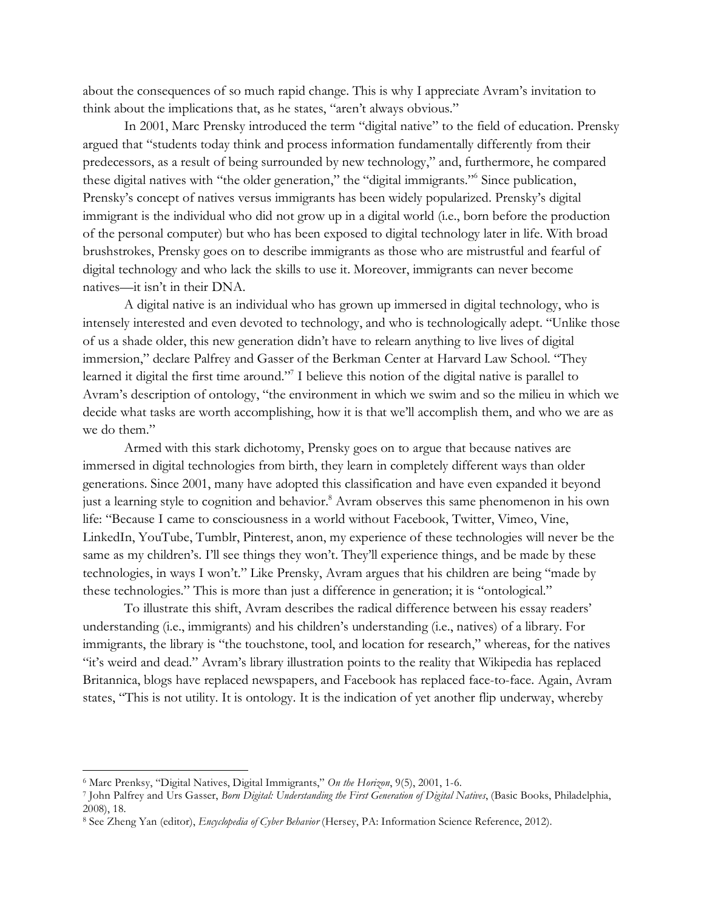about the consequences of so much rapid change. This is why I appreciate Avram's invitation to think about the implications that, as he states, "aren't always obvious."

In 2001, Marc Prensky introduced the term "digital native" to the field of education. Prensky argued that "students today think and process information fundamentally differently from their predecessors, as a result of being surrounded by new technology," and, furthermore, he compared these digital natives with "the older generation," the "digital immigrants."6 Since publication, Prensky's concept of natives versus immigrants has been widely popularized. Prensky's digital immigrant is the individual who did not grow up in a digital world (i.e., born before the production of the personal computer) but who has been exposed to digital technology later in life. With broad brushstrokes, Prensky goes on to describe immigrants as those who are mistrustful and fearful of digital technology and who lack the skills to use it. Moreover, immigrants can never become natives—it isn't in their DNA.

A digital native is an individual who has grown up immersed in digital technology, who is intensely interested and even devoted to technology, and who is technologically adept. "Unlike those of us a shade older, this new generation didn't have to relearn anything to live lives of digital immersion," declare Palfrey and Gasser of the Berkman Center at Harvard Law School. "They learned it digital the first time around."<sup>7</sup> I believe this notion of the digital native is parallel to Avram's description of ontology, "the environment in which we swim and so the milieu in which we decide what tasks are worth accomplishing, how it is that we'll accomplish them, and who we are as we do them."

Armed with this stark dichotomy, Prensky goes on to argue that because natives are immersed in digital technologies from birth, they learn in completely different ways than older generations. Since 2001, many have adopted this classification and have even expanded it beyond just a learning style to cognition and behavior.<sup>8</sup> Avram observes this same phenomenon in his own life: "Because I came to consciousness in a world without Facebook, Twitter, Vimeo, Vine, LinkedIn, YouTube, Tumblr, Pinterest, anon, my experience of these technologies will never be the same as my children's. I'll see things they won't. They'll experience things, and be made by these technologies, in ways I won't." Like Prensky, Avram argues that his children are being "made by these technologies." This is more than just a difference in generation; it is "ontological."

To illustrate this shift, Avram describes the radical difference between his essay readers' understanding (i.e., immigrants) and his children's understanding (i.e., natives) of a library. For immigrants, the library is "the touchstone, tool, and location for research," whereas, for the natives "it's weird and dead." Avram's library illustration points to the reality that Wikipedia has replaced Britannica, blogs have replaced newspapers, and Facebook has replaced face-to-face. Again, Avram states, "This is not utility. It is ontology. It is the indication of yet another flip underway, whereby

<sup>&</sup>lt;sup>6</sup> Marc Prenksy, "Digital Natives, Digital Immigrants," On the Horizon, 9(5), 2001, 1-6.<br>7 John Palfrey and Urs Gasser, *Born Digital: Understanding the First Generation of Digital Natives*, (Basic Books, Philadelphia, 2008), 18.

<sup>8</sup> See Zheng Yan (editor), *Encyclopedia of Cyber Behavior* (Hersey, PA: Information Science Reference, 2012).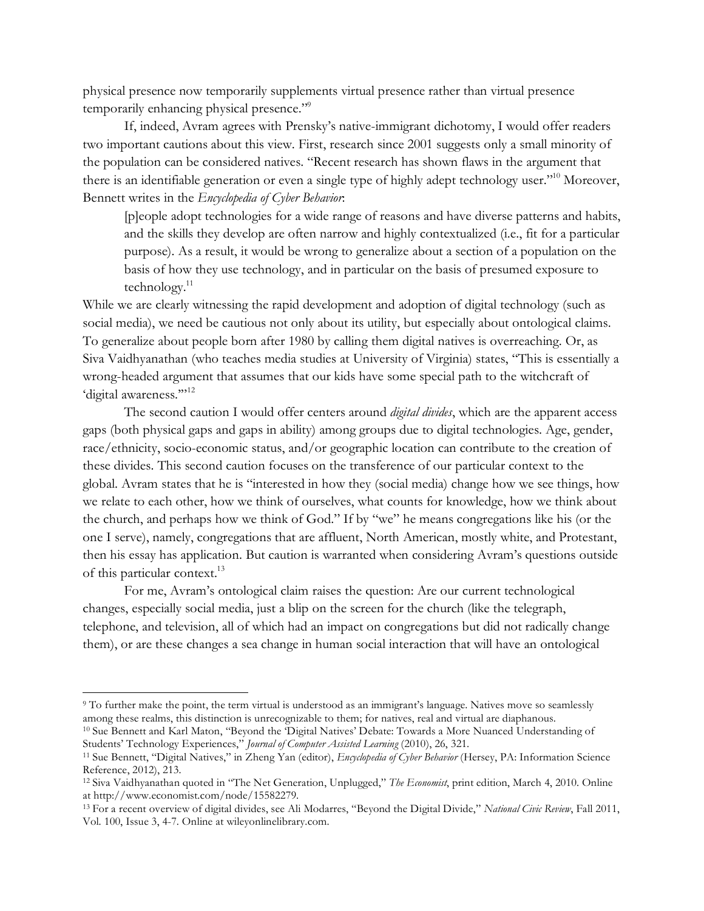physical presence now temporarily supplements virtual presence rather than virtual presence temporarily enhancing physical presence."<sup>9</sup>

If, indeed, Avram agrees with Prensky's native-immigrant dichotomy, I would offer readers two important cautions about this view. First, research since 2001 suggests only a small minority of the population can be considered natives. "Recent research has shown flaws in the argument that there is an identifiable generation or even a single type of highly adept technology user."<sup>10</sup> Moreover, Bennett writes in the *Encyclopedia of Cyber Behavior*:

[p]eople adopt technologies for a wide range of reasons and have diverse patterns and habits, and the skills they develop are often narrow and highly contextualized (i.e., fit for a particular purpose). As a result, it would be wrong to generalize about a section of a population on the basis of how they use technology, and in particular on the basis of presumed exposure to technology. $11$ 

While we are clearly witnessing the rapid development and adoption of digital technology (such as social media), we need be cautious not only about its utility, but especially about ontological claims. To generalize about people born after 1980 by calling them digital natives is overreaching. Or, as Siva Vaidhyanathan (who teaches media studies at University of Virginia) states, "This is essentially a wrong-headed argument that assumes that our kids have some special path to the witchcraft of 'digital awareness.""<sup>12</sup>

The second caution I would offer centers around *digital divides*, which are the apparent access gaps (both physical gaps and gaps in ability) among groups due to digital technologies. Age, gender, race/ethnicity, socio-economic status, and/or geographic location can contribute to the creation of these divides. This second caution focuses on the transference of our particular context to the global. Avram states that he is "interested in how they (social media) change how we see things, how we relate to each other, how we think of ourselves, what counts for knowledge, how we think about the church, and perhaps how we think of God." If by "we" he means congregations like his (or the one I serve), namely, congregations that are affluent, North American, mostly white, and Protestant, then his essay has application. But caution is warranted when considering Avram's questions outside of this particular context.13

For me, Avram's ontological claim raises the question: Are our current technological changes, especially social media, just a blip on the screen for the church (like the telegraph, telephone, and television, all of which had an impact on congregations but did not radically change them), or are these changes a sea change in human social interaction that will have an ontological

Students' Technology Experiences," *Journal of Computer Assisted Learning* (2010), 26, 321.

<sup>&</sup>lt;sup>9</sup> To further make the point, the term virtual is understood as an immigrant's language. Natives move so seamlessly among these realms, this distinction is unrecognizable to them; for natives, real and virtual are diaphanous. 10 Sue Bennett and Karl Maton, "Beyond the 'Digital Natives' Debate: Towards a More Nuanced Understanding of

<sup>11</sup> Sue Bennett, "Digital Natives," in Zheng Yan (editor), *Encyclopedia of Cyber Behavior* (Hersey, PA: Information Science Reference, 2012), 213.

<sup>12</sup> Siva Vaidhyanathan quoted in "The Net Generation, Unplugged," *The Economist*, print edition, March 4, 2010. Online at http://www.economist.com/node/15582279.

<sup>13</sup> For a recent overview of digital divides, see Ali Modarres, "Beyond the Digital Divide," *National Civic Review*, Fall 2011, Vol. 100, Issue 3, 4-7. Online at wileyonlinelibrary.com.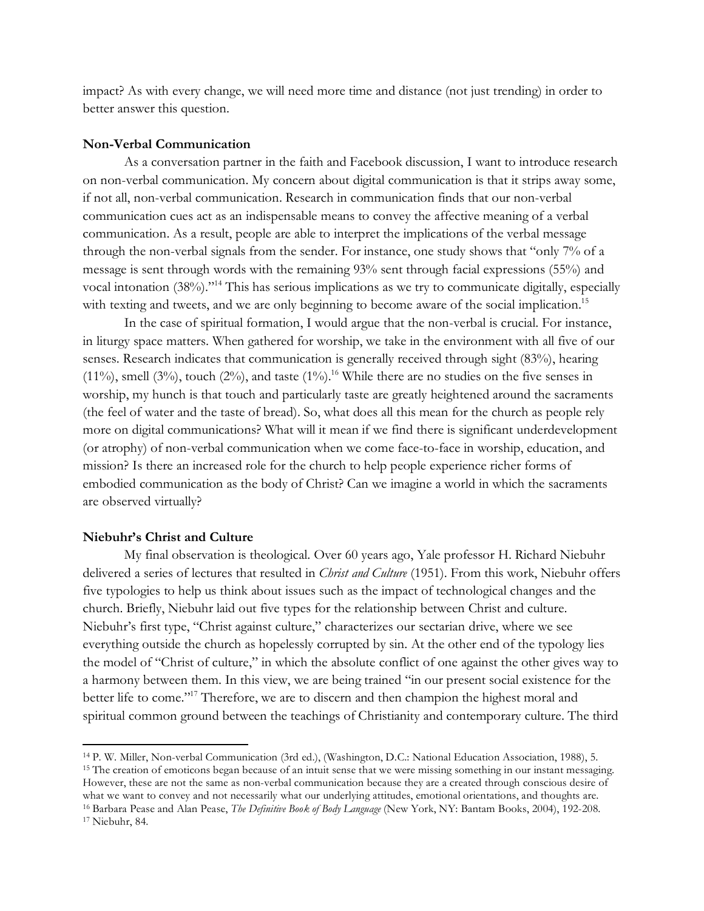impact? As with every change, we will need more time and distance (not just trending) in order to better answer this question.

## **Non-Verbal Communication**

As a conversation partner in the faith and Facebook discussion, I want to introduce research on non-verbal communication. My concern about digital communication is that it strips away some, if not all, non-verbal communication. Research in communication finds that our non-verbal communication cues act as an indispensable means to convey the affective meaning of a verbal communication. As a result, people are able to interpret the implications of the verbal message through the non-verbal signals from the sender. For instance, one study shows that "only 7% of a message is sent through words with the remaining 93% sent through facial expressions (55%) and vocal intonation (38%)."14 This has serious implications as we try to communicate digitally, especially with texting and tweets, and we are only beginning to become aware of the social implication.<sup>15</sup>

In the case of spiritual formation, I would argue that the non-verbal is crucial. For instance, in liturgy space matters. When gathered for worship, we take in the environment with all five of our senses. Research indicates that communication is generally received through sight (83%), hearing (11%), smell (3%), touch (2%), and taste (1%).<sup>16</sup> While there are no studies on the five senses in worship, my hunch is that touch and particularly taste are greatly heightened around the sacraments (the feel of water and the taste of bread). So, what does all this mean for the church as people rely more on digital communications? What will it mean if we find there is significant underdevelopment (or atrophy) of non-verbal communication when we come face-to-face in worship, education, and mission? Is there an increased role for the church to help people experience richer forms of embodied communication as the body of Christ? Can we imagine a world in which the sacraments are observed virtually?

## **Niebuhr's Christ and Culture**

My final observation is theological. Over 60 years ago, Yale professor H. Richard Niebuhr delivered a series of lectures that resulted in *Christ and Culture* (1951). From this work, Niebuhr offers five typologies to help us think about issues such as the impact of technological changes and the church. Briefly, Niebuhr laid out five types for the relationship between Christ and culture. Niebuhr's first type, "Christ against culture," characterizes our sectarian drive, where we see everything outside the church as hopelessly corrupted by sin. At the other end of the typology lies the model of "Christ of culture," in which the absolute conflict of one against the other gives way to a harmony between them. In this view, we are being trained "in our present social existence for the better life to come."<sup>17</sup> Therefore, we are to discern and then champion the highest moral and spiritual common ground between the teachings of Christianity and contemporary culture. The third

<sup>14</sup> P. W. Miller, Non-verbal Communication (3rd ed.), (Washington, D.C.: National Education Association, 1988), 5. <sup>15</sup> The creation of emoticons began because of an intuit sense that we were missing something in our instant messaging. However, these are not the same as non-verbal communication because they are a created through conscious desire of what we want to convey and not necessarily what our underlying attitudes, emotional orientations, and thoug <sup>16</sup> Barbara Pease and Alan Pease, *The Definitive Book of Body Language* (New York, NY: Bantam Books, 2004), 192-208.

<sup>17</sup> Niebuhr, 84.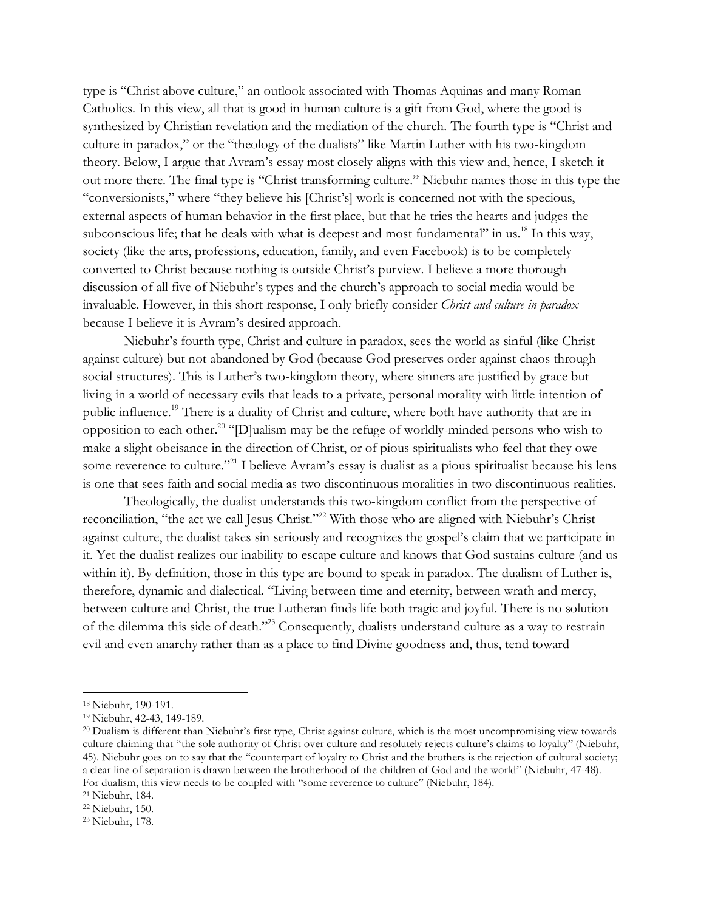type is "Christ above culture," an outlook associated with Thomas Aquinas and many Roman Catholics. In this view, all that is good in human culture is a gift from God, where the good is synthesized by Christian revelation and the mediation of the church. The fourth type is "Christ and culture in paradox," or the "theology of the dualists" like Martin Luther with his two-kingdom theory. Below, I argue that Avram's essay most closely aligns with this view and, hence, I sketch it out more there. The final type is "Christ transforming culture." Niebuhr names those in this type the "conversionists," where "they believe his [Christ's] work is concerned not with the specious, external aspects of human behavior in the first place, but that he tries the hearts and judges the subconscious life; that he deals with what is deepest and most fundamental" in us.<sup>18</sup> In this way, society (like the arts, professions, education, family, and even Facebook) is to be completely converted to Christ because nothing is outside Christ's purview. I believe a more thorough discussion of all five of Niebuhr's types and the church's approach to social media would be invaluable. However, in this short response, I only briefly consider *Christ and culture in paradox* because I believe it is Avram's desired approach.

Niebuhr's fourth type, Christ and culture in paradox, sees the world as sinful (like Christ against culture) but not abandoned by God (because God preserves order against chaos through social structures). This is Luther's two-kingdom theory, where sinners are justified by grace but living in a world of necessary evils that leads to a private, personal morality with little intention of public influence.19 There is a duality of Christ and culture, where both have authority that are in opposition to each other.<sup>20</sup> "[D]ualism may be the refuge of worldly-minded persons who wish to make a slight obeisance in the direction of Christ, or of pious spiritualists who feel that they owe some reverence to culture."<sup>21</sup> I believe Avram's essay is dualist as a pious spiritualist because his lens is one that sees faith and social media as two discontinuous moralities in two discontinuous realities.

Theologically, the dualist understands this two-kingdom conflict from the perspective of reconciliation, "the act we call Jesus Christ."<sup>22</sup> With those who are aligned with Niebuhr's Christ against culture, the dualist takes sin seriously and recognizes the gospel's claim that we participate in it. Yet the dualist realizes our inability to escape culture and knows that God sustains culture (and us within it). By definition, those in this type are bound to speak in paradox. The dualism of Luther is, therefore, dynamic and dialectical. "Living between time and eternity, between wrath and mercy, between culture and Christ, the true Lutheran finds life both tragic and joyful. There is no solution of the dilemma this side of death."23 Consequently, dualists understand culture as a way to restrain evil and even anarchy rather than as a place to find Divine goodness and, thus, tend toward

<sup>18</sup> Niebuhr, 190-191.

<sup>19</sup> Niebuhr, 42-43, 149-189.

<sup>&</sup>lt;sup>20</sup> Dualism is different than Niebuhr's first type, Christ against culture, which is the most uncompromising view towards culture claiming that "the sole authority of Christ over culture and resolutely rejects culture's claims to loyalty" (Niebuhr, 45). Niebuhr goes on to say that the "counterpart of loyalty to Christ and the brothers is the rejection of cultural society; a clear line of separation is drawn between the brotherhood of the children of God and the world" (Niebuhr, 47-48). For dualism, this view needs to be coupled with "some reverence to culture" (Niebuhr, 184).

<sup>21</sup> Niebuhr, 184.

<sup>22</sup> Niebuhr, 150.

<sup>23</sup> Niebuhr, 178.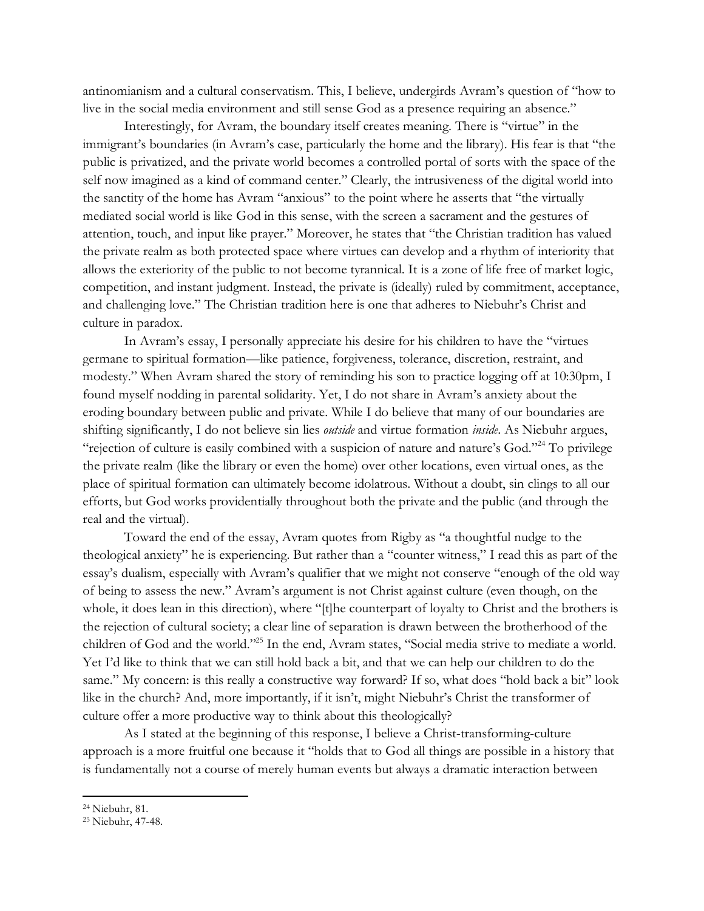antinomianism and a cultural conservatism. This, I believe, undergirds Avram's question of "how to live in the social media environment and still sense God as a presence requiring an absence."

Interestingly, for Avram, the boundary itself creates meaning. There is "virtue" in the immigrant's boundaries (in Avram's case, particularly the home and the library). His fear is that "the public is privatized, and the private world becomes a controlled portal of sorts with the space of the self now imagined as a kind of command center." Clearly, the intrusiveness of the digital world into the sanctity of the home has Avram "anxious" to the point where he asserts that "the virtually mediated social world is like God in this sense, with the screen a sacrament and the gestures of attention, touch, and input like prayer." Moreover, he states that "the Christian tradition has valued the private realm as both protected space where virtues can develop and a rhythm of interiority that allows the exteriority of the public to not become tyrannical. It is a zone of life free of market logic, competition, and instant judgment. Instead, the private is (ideally) ruled by commitment, acceptance, and challenging love." The Christian tradition here is one that adheres to Niebuhr's Christ and culture in paradox.

In Avram's essay, I personally appreciate his desire for his children to have the "virtues germane to spiritual formation—like patience, forgiveness, tolerance, discretion, restraint, and modesty." When Avram shared the story of reminding his son to practice logging off at 10:30pm, I found myself nodding in parental solidarity. Yet, I do not share in Avram's anxiety about the eroding boundary between public and private. While I do believe that many of our boundaries are shifting significantly, I do not believe sin lies *outside* and virtue formation *inside*. As Niebuhr argues, "rejection of culture is easily combined with a suspicion of nature and nature's God."24 To privilege the private realm (like the library or even the home) over other locations, even virtual ones, as the place of spiritual formation can ultimately become idolatrous. Without a doubt, sin clings to all our efforts, but God works providentially throughout both the private and the public (and through the real and the virtual).

Toward the end of the essay, Avram quotes from Rigby as "a thoughtful nudge to the theological anxiety" he is experiencing. But rather than a "counter witness," I read this as part of the essay's dualism, especially with Avram's qualifier that we might not conserve "enough of the old way of being to assess the new." Avram's argument is not Christ against culture (even though, on the whole, it does lean in this direction), where "[t]he counterpart of loyalty to Christ and the brothers is the rejection of cultural society; a clear line of separation is drawn between the brotherhood of the children of God and the world."25 In the end, Avram states, "Social media strive to mediate a world. Yet I'd like to think that we can still hold back a bit, and that we can help our children to do the same." My concern: is this really a constructive way forward? If so, what does "hold back a bit" look like in the church? And, more importantly, if it isn't, might Niebuhr's Christ the transformer of culture offer a more productive way to think about this theologically?

As I stated at the beginning of this response, I believe a Christ-transforming-culture approach is a more fruitful one because it "holds that to God all things are possible in a history that is fundamentally not a course of merely human events but always a dramatic interaction between

<sup>24</sup> Niebuhr, 81.

<sup>25</sup> Niebuhr, 47-48.